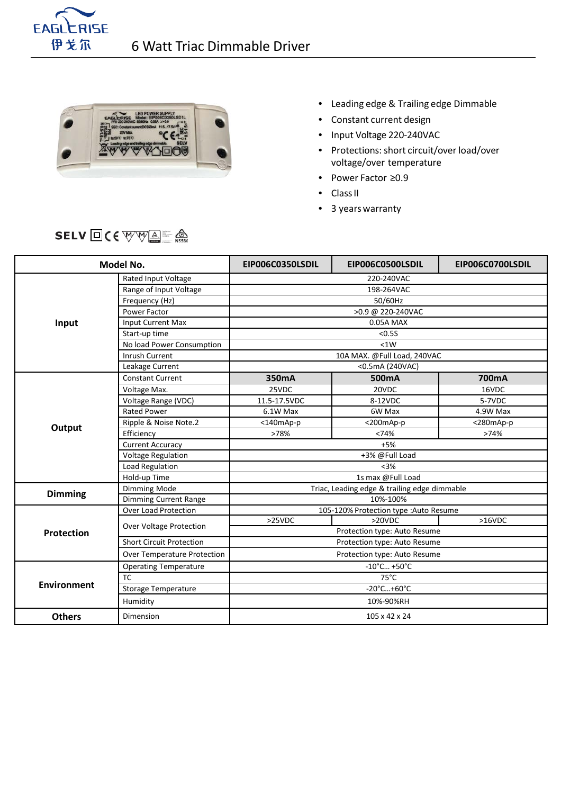



- Leading edge & Trailing edge Dimmable
- Constant current design
- Input Voltage 220-240VAC
- Protections: short circuit/over load/over voltage/over temperature
- Power Factor ≥0.9
- Class<sub>II</sub>
- 3 yearswarranty

| Model No.          |                                 | EIP006C0350LSDIL                             | EIP006C0500LSDIL | EIP006C0700LSDIL |  |
|--------------------|---------------------------------|----------------------------------------------|------------------|------------------|--|
|                    | Rated Input Voltage             | 220-240VAC                                   |                  |                  |  |
| Input              | Range of Input Voltage          | 198-264VAC                                   |                  |                  |  |
|                    | Frequency (Hz)                  | 50/60Hz                                      |                  |                  |  |
|                    | Power Factor                    | >0.9 @ 220-240VAC                            |                  |                  |  |
|                    | Input Current Max               | 0.05A MAX                                    |                  |                  |  |
|                    | Start-up time                   | < 0.55                                       |                  |                  |  |
|                    | No load Power Consumption       | < 1W                                         |                  |                  |  |
|                    | <b>Inrush Current</b>           | 10A MAX. @Full Load, 240VAC                  |                  |                  |  |
|                    | Leakage Current                 | <0.5mA (240VAC)                              |                  |                  |  |
|                    | <b>Constant Current</b>         | 350mA                                        | 500mA            | 700mA            |  |
|                    | Voltage Max.                    | 25VDC                                        | 20VDC            | 16VDC            |  |
|                    | Voltage Range (VDC)             | 11.5-17.5VDC                                 | 8-12VDC          | 5-7VDC           |  |
|                    | <b>Rated Power</b>              | 6.1W Max                                     | 6W Max           | 4.9W Max         |  |
| Output             | Ripple & Noise Note.2           | <140mAp-p                                    | <200mAp-p        | <280mAp-p        |  |
|                    | Efficiency                      | >78%                                         | <74%             | >74%             |  |
|                    | <b>Current Accuracy</b>         | $+5%$                                        |                  |                  |  |
|                    | Voltage Regulation              | +3% @Full Load                               |                  |                  |  |
|                    | Load Regulation                 | $3%$                                         |                  |                  |  |
|                    | Hold-up Time                    | 1s max @Full Load                            |                  |                  |  |
| <b>Dimming</b>     | Dimming Mode                    | Triac, Leading edge & trailing edge dimmable |                  |                  |  |
|                    | Dimming Current Range           | 10%-100%                                     |                  |                  |  |
|                    | <b>Over Load Protection</b>     | 105-120% Protection type : Auto Resume       |                  |                  |  |
|                    | <b>Over Voltage Protection</b>  | >25VDC                                       | >20VDC           | >16VDC           |  |
| Protection         |                                 | Protection type: Auto Resume                 |                  |                  |  |
|                    | <b>Short Circuit Protection</b> | Protection type: Auto Resume                 |                  |                  |  |
|                    | Over Temperature Protection     | Protection type: Auto Resume                 |                  |                  |  |
| <b>Environment</b> | <b>Operating Temperature</b>    | $-10^{\circ}$ C $+50^{\circ}$ C              |                  |                  |  |
|                    | <b>TC</b>                       | $75^{\circ}$ C                               |                  |                  |  |
|                    | Storage Temperature             | $-20^{\circ}$ C+60 $^{\circ}$ C              |                  |                  |  |
|                    | Humidity                        | 10%-90%RH                                    |                  |                  |  |
| <b>Others</b>      | Dimension                       | 105 x 42 x 24                                |                  |                  |  |

## SELVDCE WWAE